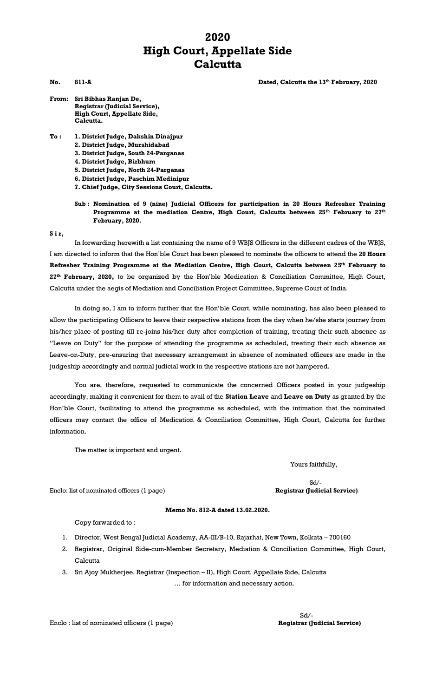## **2020 High Court, Appellate Side Calcutta**

**No. 811-A Dated, Calcutta the 13th February, 2020**

- **From: Sri Bibhas Ranjan De, Registrar (Judicial Service), High Court, Appellate Side, Calcutta.**
- **To : 1. District Judge, Dakshin Dinajpur**
	- **2. District Judge, Murshidabad**
	- **3. District Judge, South 24-Parganas**
	- **4. District Judge, Birbhum**
	- **5. District Judge, North 24-Parganas**
	- **6. District Judge, Paschim Medinipur**
	- **7. Chief Judge, City Sessions Court, Calcutta.**
	- **Sub : Nomination of 9 (nine) Judicial Officers for participation in 20 Hours Refresher Training Programme at the mediation Centre, High Court, Calcutta between 25th February to 27th February, 2020.**

#### **S i r,**

In forwarding herewith a list containing the name of 9 WBJS Officers in the different cadres of the WBJS, I am directed to inform that the Hon'ble Court has been pleased to nominate the officers to attend the **20 Hours Refresher Training Programme at the Mediation Centre, High Court, Calcutta between 25th February to 27th February, 2020,** to be organized by the Hon'ble Medication & Conciliation Committee, High Court, Calcutta under the aegis of Mediation and Conciliation Project Committee, Supreme Court of India.

In doing so, I am to inform further that the Hon'ble Court, while nominating, has also been pleased to allow the participating Officers to leave their respective stations from the day when he/she starts journey from his/her place of posting till re-joins his/her duty after completion of training, treating their such absence as "Leave on Duty" for the purpose of attending the programme as scheduled, treating their such absence as Leave-on-Duty, pre-ensuring that necessary arrangement in absence of nominated officers are made in the judgeship accordingly and normal judicial work in the respective stations are not hampered.

You are, therefore, requested to communicate the concerned Officers posted in your judgeship accordingly, making it convenient for them to avail of the **Station Leave** and **Leave on Duty** as granted by the Hon'ble Court, facilitating to attend the programme as scheduled, with the intimation that the nominated officers may contact the office of Medication & Conciliation Committee, High Court, Calcutta for further information.

The matter is important and urgent.

Yours faithfully,

# Sd/-

Enclo: list of nominated officers (1 page) **Registrar (Judicial Service)**

#### **Memo No. 812-A dated 13.02.2020.**

Copy forwarded to :

- 1. Director, West Bengal Judicial Academy, AA-III/B-10, Rajarhat, New Town, Kolkata 700160
- 2. Registrar, Original Side-cum-Member Secretary, Mediation & Conciliation Committee, High Court, **Calcutta**
- 3. Sri Ajoy Mukherjee, Registrar (Inspection II), High Court, Appellate Side, Calcutta … for information and necessary action.

Enclo : list of nominated officers (1 page) **Registrar (Judicial Service)**